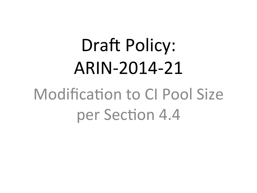# **Draft Policy:** ARIN-2014-21 **Modification to Cl Pool Size** per Section 4.4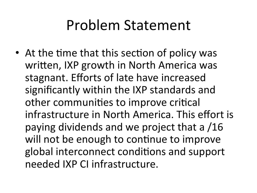#### Problem Statement

• At the time that this section of policy was written, IXP growth in North America was stagnant. Efforts of late have increased significantly within the IXP standards and other communities to improve critical infrastructure in North America. This effort is paying dividends and we project that a /16 will not be enough to continue to improve global interconnect conditions and support needed IXP CI infrastructure.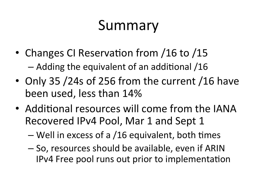# Summary

- Changes CI Reservation from /16 to /15  $-$  Adding the equivalent of an additional /16
- Only 35 /24s of 256 from the current /16 have been used, less than 14%
- Additional resources will come from the IANA Recovered IPv4 Pool, Mar 1 and Sept 1
	- $-$  Well in excess of a /16 equivalent, both times
	- $-$  So, resources should be available, even if ARIN IPv4 Free pool runs out prior to implementation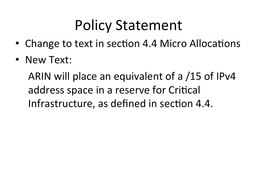# Policy Statement

- Change to text in section 4.4 Micro Allocations
- New Text:

ARIN will place an equivalent of a /15 of IPv4 address space in a reserve for Critical Infrastructure, as defined in section 4.4.